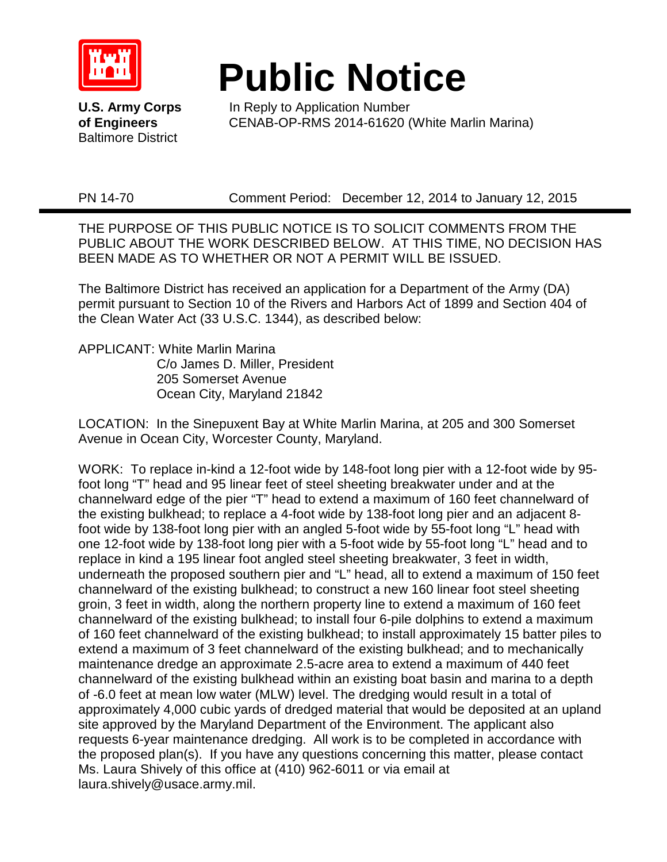

Baltimore District

## **Public Notice**<br>U.S. Army Corps Fin Reply to Application Number

In Reply to Application Number **of Engineers** CENAB-OP-RMS 2014-61620 (White Marlin Marina)

PN 14-70 Comment Period: December 12, 2014 to January 12, 2015

THE PURPOSE OF THIS PUBLIC NOTICE IS TO SOLICIT COMMENTS FROM THE PUBLIC ABOUT THE WORK DESCRIBED BELOW. AT THIS TIME, NO DECISION HAS BEEN MADE AS TO WHETHER OR NOT A PERMIT WILL BE ISSUED.

The Baltimore District has received an application for a Department of the Army (DA) permit pursuant to Section 10 of the Rivers and Harbors Act of 1899 and Section 404 of the Clean Water Act (33 U.S.C. 1344), as described below:

APPLICANT: White Marlin Marina C/o James D. Miller, President 205 Somerset Avenue Ocean City, Maryland 21842

LOCATION: In the Sinepuxent Bay at White Marlin Marina, at 205 and 300 Somerset Avenue in Ocean City, Worcester County, Maryland.

WORK: To replace in-kind a 12-foot wide by 148-foot long pier with a 12-foot wide by 95 foot long "T" head and 95 linear feet of steel sheeting breakwater under and at the channelward edge of the pier "T" head to extend a maximum of 160 feet channelward of the existing bulkhead; to replace a 4-foot wide by 138-foot long pier and an adjacent 8 foot wide by 138-foot long pier with an angled 5-foot wide by 55-foot long "L" head with one 12-foot wide by 138-foot long pier with a 5-foot wide by 55-foot long "L" head and to replace in kind a 195 linear foot angled steel sheeting breakwater, 3 feet in width, underneath the proposed southern pier and "L" head, all to extend a maximum of 150 feet channelward of the existing bulkhead; to construct a new 160 linear foot steel sheeting groin, 3 feet in width, along the northern property line to extend a maximum of 160 feet channelward of the existing bulkhead; to install four 6-pile dolphins to extend a maximum of 160 feet channelward of the existing bulkhead; to install approximately 15 batter piles to extend a maximum of 3 feet channelward of the existing bulkhead; and to mechanically maintenance dredge an approximate 2.5-acre area to extend a maximum of 440 feet channelward of the existing bulkhead within an existing boat basin and marina to a depth of -6.0 feet at mean low water (MLW) level. The dredging would result in a total of approximately 4,000 cubic yards of dredged material that would be deposited at an upland site approved by the Maryland Department of the Environment. The applicant also requests 6-year maintenance dredging. All work is to be completed in accordance with the proposed plan(s). If you have any questions concerning this matter, please contact Ms. Laura Shively of this office at (410) 962-6011 or via email at laura.shively@usace.army.mil.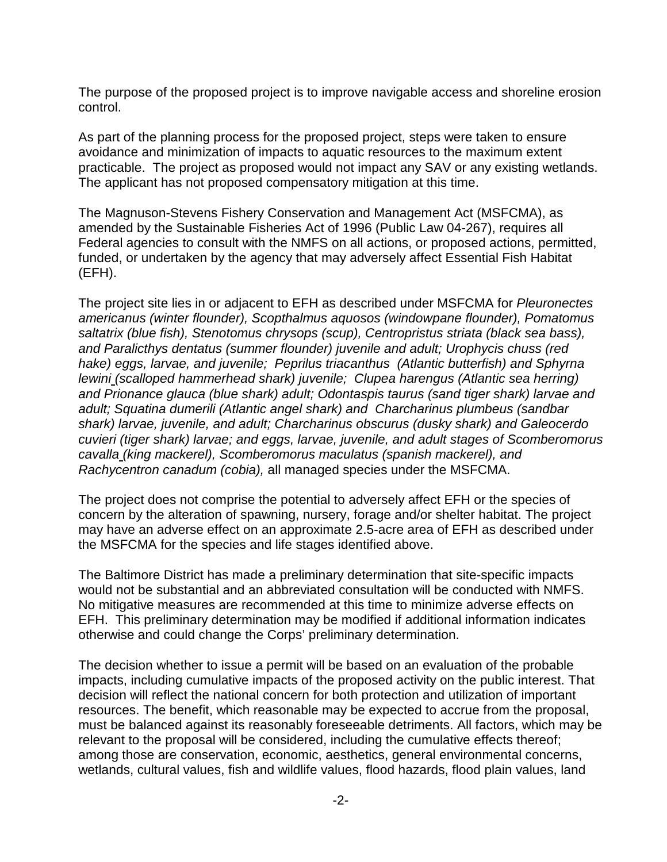The purpose of the proposed project is to improve navigable access and shoreline erosion control.

As part of the planning process for the proposed project, steps were taken to ensure avoidance and minimization of impacts to aquatic resources to the maximum extent practicable. The project as proposed would not impact any SAV or any existing wetlands. The applicant has not proposed compensatory mitigation at this time.

The Magnuson-Stevens Fishery Conservation and Management Act (MSFCMA), as amended by the Sustainable Fisheries Act of 1996 (Public Law 04-267), requires all Federal agencies to consult with the NMFS on all actions, or proposed actions, permitted, funded, or undertaken by the agency that may adversely affect Essential Fish Habitat (EFH).

The project site lies in or adjacent to EFH as described under MSFCMA for *Pleuronectes americanus (winter flounder), Scopthalmus aquosos (windowpane flounder), Pomatomus saltatrix (blue fish), Stenotomus chrysops (scup), Centropristus striata (black sea bass), and Paralicthys dentatus (summer flounder) juvenile and adult; Urophycis chuss (red hake) eggs, larvae, and juvenile; Peprilus triacanthus (Atlantic butterfish) and Sphyrna lewini (scalloped hammerhead shark) juvenile; Clupea harengus (Atlantic sea herring) and Prionance glauca (blue shark) adult; Odontaspis taurus (sand tiger shark) larvae and adult; Squatina dumerili (Atlantic angel shark) and Charcharinus plumbeus (sandbar shark) larvae, juvenile, and adult; Charcharinus obscurus (dusky shark) and Galeocerdo cuvieri (tiger shark) larvae; and eggs, larvae, juvenile, and adult stages of Scomberomorus cavalla (king mackerel), Scomberomorus maculatus (spanish mackerel), and Rachycentron canadum (cobia),* all managed species under the MSFCMA.

The project does not comprise the potential to adversely affect EFH or the species of concern by the alteration of spawning, nursery, forage and/or shelter habitat. The project may have an adverse effect on an approximate 2.5-acre area of EFH as described under the MSFCMA for the species and life stages identified above.

The Baltimore District has made a preliminary determination that site-specific impacts would not be substantial and an abbreviated consultation will be conducted with NMFS. No mitigative measures are recommended at this time to minimize adverse effects on EFH. This preliminary determination may be modified if additional information indicates otherwise and could change the Corps' preliminary determination.

The decision whether to issue a permit will be based on an evaluation of the probable impacts, including cumulative impacts of the proposed activity on the public interest. That decision will reflect the national concern for both protection and utilization of important resources. The benefit, which reasonable may be expected to accrue from the proposal, must be balanced against its reasonably foreseeable detriments. All factors, which may be relevant to the proposal will be considered, including the cumulative effects thereof; among those are conservation, economic, aesthetics, general environmental concerns, wetlands, cultural values, fish and wildlife values, flood hazards, flood plain values, land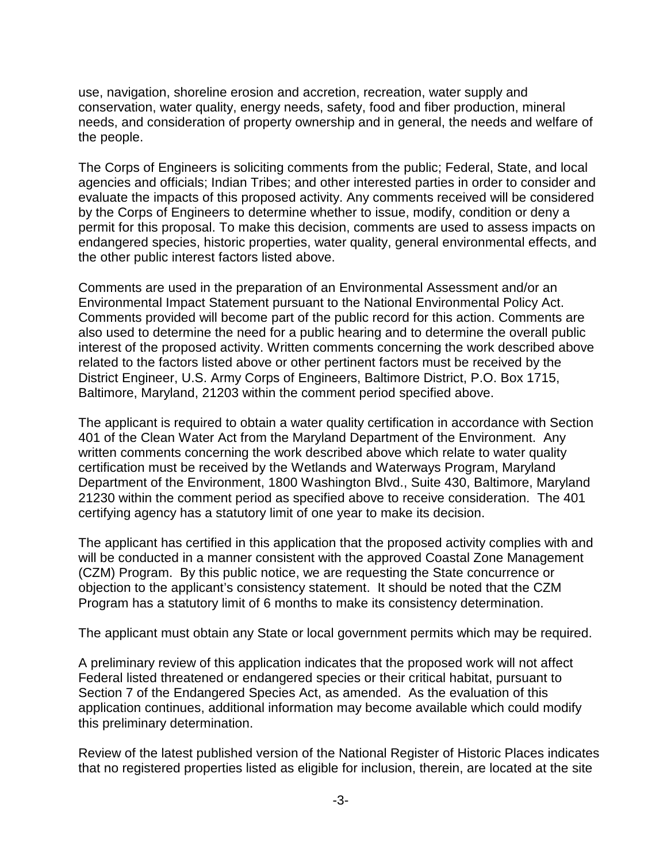use, navigation, shoreline erosion and accretion, recreation, water supply and conservation, water quality, energy needs, safety, food and fiber production, mineral needs, and consideration of property ownership and in general, the needs and welfare of the people.

The Corps of Engineers is soliciting comments from the public; Federal, State, and local agencies and officials; Indian Tribes; and other interested parties in order to consider and evaluate the impacts of this proposed activity. Any comments received will be considered by the Corps of Engineers to determine whether to issue, modify, condition or deny a permit for this proposal. To make this decision, comments are used to assess impacts on endangered species, historic properties, water quality, general environmental effects, and the other public interest factors listed above.

Comments are used in the preparation of an Environmental Assessment and/or an Environmental Impact Statement pursuant to the National Environmental Policy Act. Comments provided will become part of the public record for this action. Comments are also used to determine the need for a public hearing and to determine the overall public interest of the proposed activity. Written comments concerning the work described above related to the factors listed above or other pertinent factors must be received by the District Engineer, U.S. Army Corps of Engineers, Baltimore District, P.O. Box 1715, Baltimore, Maryland, 21203 within the comment period specified above.

The applicant is required to obtain a water quality certification in accordance with Section 401 of the Clean Water Act from the Maryland Department of the Environment. Any written comments concerning the work described above which relate to water quality certification must be received by the Wetlands and Waterways Program, Maryland Department of the Environment, 1800 Washington Blvd., Suite 430, Baltimore, Maryland 21230 within the comment period as specified above to receive consideration. The 401 certifying agency has a statutory limit of one year to make its decision.

The applicant has certified in this application that the proposed activity complies with and will be conducted in a manner consistent with the approved Coastal Zone Management (CZM) Program. By this public notice, we are requesting the State concurrence or objection to the applicant's consistency statement. It should be noted that the CZM Program has a statutory limit of 6 months to make its consistency determination.

The applicant must obtain any State or local government permits which may be required.

A preliminary review of this application indicates that the proposed work will not affect Federal listed threatened or endangered species or their critical habitat, pursuant to Section 7 of the Endangered Species Act, as amended. As the evaluation of this application continues, additional information may become available which could modify this preliminary determination.

Review of the latest published version of the National Register of Historic Places indicates that no registered properties listed as eligible for inclusion, therein, are located at the site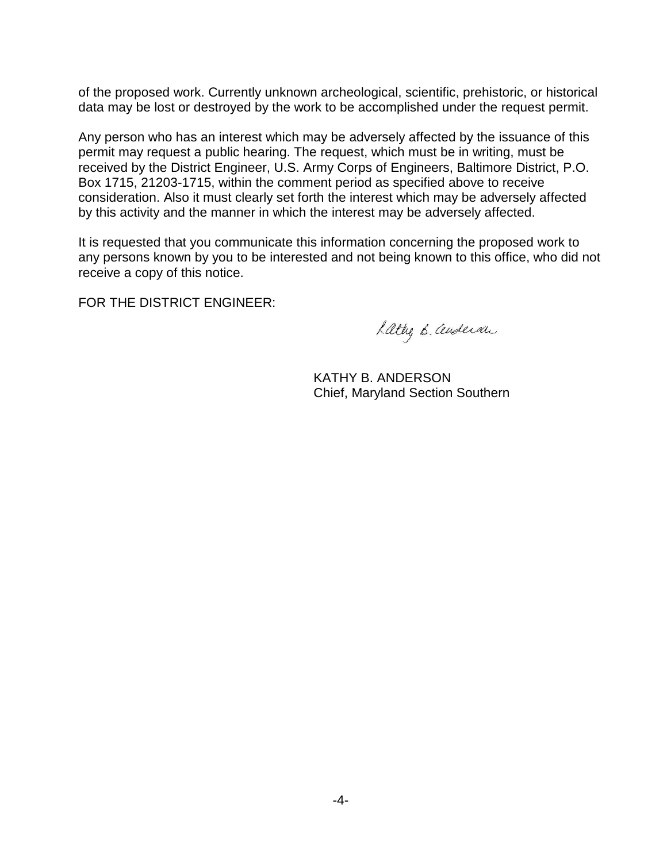of the proposed work. Currently unknown archeological, scientific, prehistoric, or historical data may be lost or destroyed by the work to be accomplished under the request permit.

Any person who has an interest which may be adversely affected by the issuance of this permit may request a public hearing. The request, which must be in writing, must be received by the District Engineer, U.S. Army Corps of Engineers, Baltimore District, P.O. Box 1715, 21203-1715, within the comment period as specified above to receive consideration. Also it must clearly set forth the interest which may be adversely affected by this activity and the manner in which the interest may be adversely affected.

It is requested that you communicate this information concerning the proposed work to any persons known by you to be interested and not being known to this office, who did not receive a copy of this notice.

FOR THE DISTRICT ENGINEER:

Lattig B. andersan

KATHY B. ANDERSON Chief, Maryland Section Southern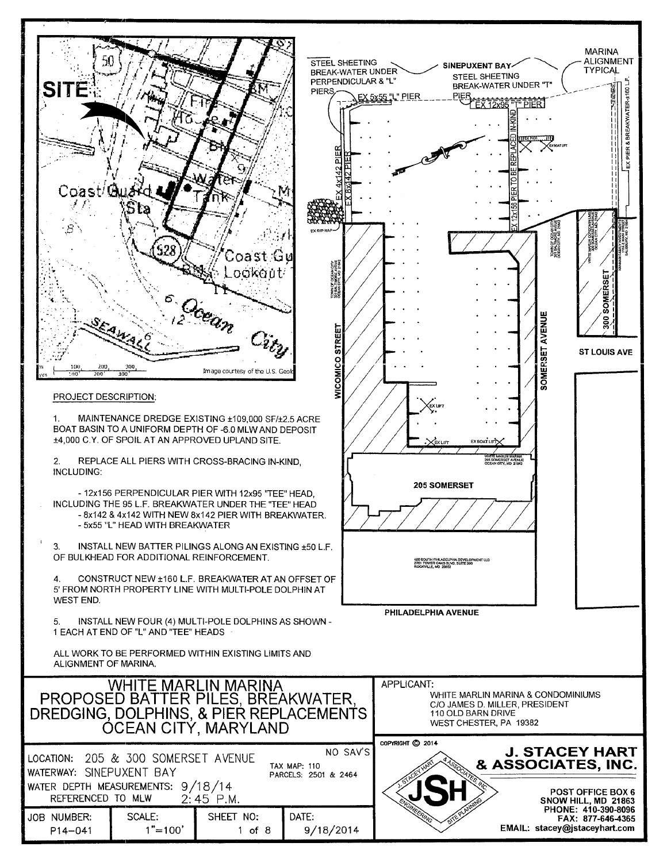| אל.<br><b>SITE</b><br>Coast/Club<br>200<br>100<br>$\overline{\phantom{a}}$<br>200<br>PROJECT DESCRIPTION:<br>1.<br>2.<br><b>INCLUDING:</b><br>3.<br>4.<br>WEST END.<br>5.<br>ALIGNMENT OF MARINA.                                                                                                                     | EAHA<br>300<br>300<br>- 5x55 "L" HEAD WITH BREAKWATER<br>OF BULKHEAD FOR ADDITIONAL REINFORCEMENT.<br>1 EACH AT END OF "L" AND "TEE" HEADS | Coast Gu<br>ookout<br>Doean<br>Image courtesy of the U.S. Geok<br>MAINTENANCE DREDGE EXISTING ±109,000 SF/±2.5 ACRE<br>BOAT BASIN TO A UNIFORM DEPTH OF -6.0 MLW AND DEPOSIT<br>±4,000 C.Y. OF SPOIL AT AN APPROVED UPLAND SITE.<br>REPLACE ALL PIERS WITH CROSS-BRACING IN-KIND.<br>- 12x156 PERPENDICULAR PIER WITH 12x95 "TEE" HEAD,<br>INCLUDING THE 95 L.F. BREAKWATER UNDER THE "TEE" HEAD<br>- 8x142 & 4x142 WITH NEW 8x142 PIER WITH BREAKWATER.<br>INSTALL NEW BATTER PILINGS ALONG AN EXISTING ±50 L.F.<br>CONSTRUCT NEW ±160 L.F. BREAKWATER AT AN OFFSET OF<br>5' FROM NORTH PROPERTY LINE WITH MULTI-POLE DOLPHIN AT<br>INSTALL NEW FOUR (4) MULTI-POLE DOLPHINS AS SHOWN -<br>ALL WORK TO BE PERFORMED WITHIN EXISTING LIMITS AND | <b>STEEL SHEETING</b><br>BREAK-WATER UNDER<br>PERPENDICULAR & "L"<br>PIERS,<br>VICOMICO STREET                                                         | EX 5x55 "L" PIER<br>Ex urr<br>205 SOMERSET<br>PHILADELPHIA AVENUE | SINEPUXENT BAY-<br>STEEL SHEETING<br>BREAK-WATER UNDER "T"<br>PIER<br>EX 12x95 TT PIER<br>EX BOAT LIFT<br>205 SOMERSET AVENUE<br>400 SOUTH PHILADELPHIA DEVELOPMENT LLC<br>2701 TOWER OAKS BLVD, SUITE 200<br>ROCKVILLE, MD 20852 | <b>MARINA</b><br>ALIGNMENT<br>TYPICAL<br>& BREAKWATER-±160<br>PIER<br>员<br>TOWN OF OCEN<br>321 BALTIMORE/<br>CCEAN CITY, MD<br>SOMERSE<br>AVENUE<br>300<br>SOMERSET<br><b>ST LOUIS AVE</b> |
|-----------------------------------------------------------------------------------------------------------------------------------------------------------------------------------------------------------------------------------------------------------------------------------------------------------------------|--------------------------------------------------------------------------------------------------------------------------------------------|-------------------------------------------------------------------------------------------------------------------------------------------------------------------------------------------------------------------------------------------------------------------------------------------------------------------------------------------------------------------------------------------------------------------------------------------------------------------------------------------------------------------------------------------------------------------------------------------------------------------------------------------------------------------------------------------------------------------------------------------------|--------------------------------------------------------------------------------------------------------------------------------------------------------|-------------------------------------------------------------------|-----------------------------------------------------------------------------------------------------------------------------------------------------------------------------------------------------------------------------------|--------------------------------------------------------------------------------------------------------------------------------------------------------------------------------------------|
|                                                                                                                                                                                                                                                                                                                       |                                                                                                                                            | WHITE MARLIN MARINA<br>PROPOSED BATTER PILES, BREAKWATER,<br>DREDGING, DOLPHINS, & PIER REPLACEMENTS<br><b>OCEAN CITY, MARYLAND</b>                                                                                                                                                                                                                                                                                                                                                                                                                                                                                                                                                                                                             | APPLICANT:<br>WHITE MARLIN MARINA & CONDOMINIUMS<br>C/O JAMES D. MILLER, PRESIDENT<br>110 OLD BARN DRIVE<br>WEST CHESTER, PA 19382<br>COPYRIGHT C 2014 |                                                                   |                                                                                                                                                                                                                                   |                                                                                                                                                                                            |
| NO SAV'S<br>205 & 300 SOMERSET AVENUE<br>LOCATION:<br><b>TAX MAP: 110</b><br>WATERWAY: SINEPUXENT BAY<br>PARCELS: 2501 & 2464<br>WATER DEPTH MEASUREMENTS: 9/18/14<br>REFERENCED TO MLW<br>$2:45$ P.M.<br>SCALE:<br>SHEET NO:<br>DATE:<br><b>JOB NUMBER:</b><br>$1" = 100'$<br>9/18/2014<br>$P14 - 041$<br>$1$ of $8$ |                                                                                                                                            |                                                                                                                                                                                                                                                                                                                                                                                                                                                                                                                                                                                                                                                                                                                                                 |                                                                                                                                                        |                                                                   |                                                                                                                                                                                                                                   | <b>J. STACEY HART</b><br>& ASSOCIATES, INC.<br>POST OFFICE BOX 6<br>SNOW HILL, MD 21863<br>PHONE: 410-390-8096<br>FAX: 877-646-4365<br>EMAIL: stacey@jstaceyhart.com                       |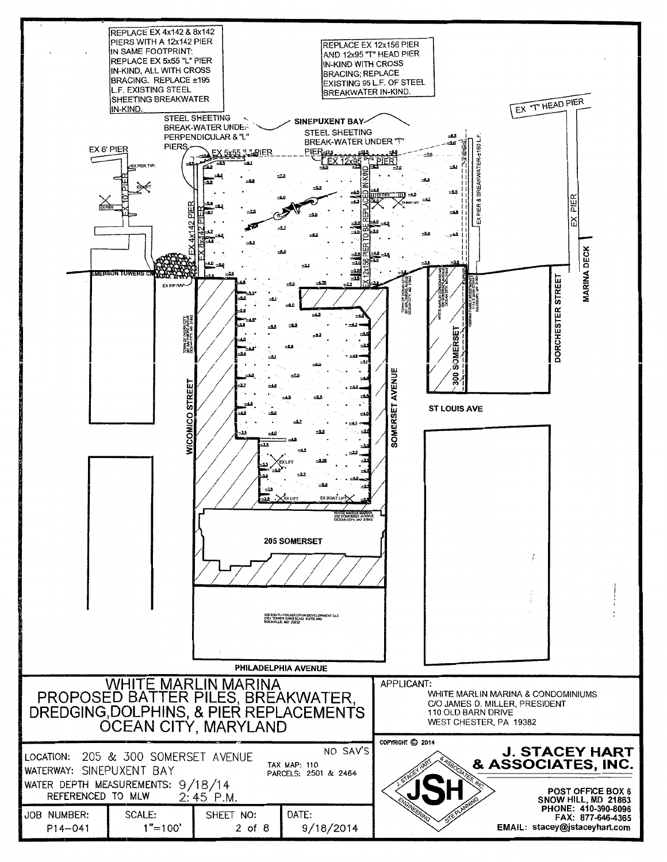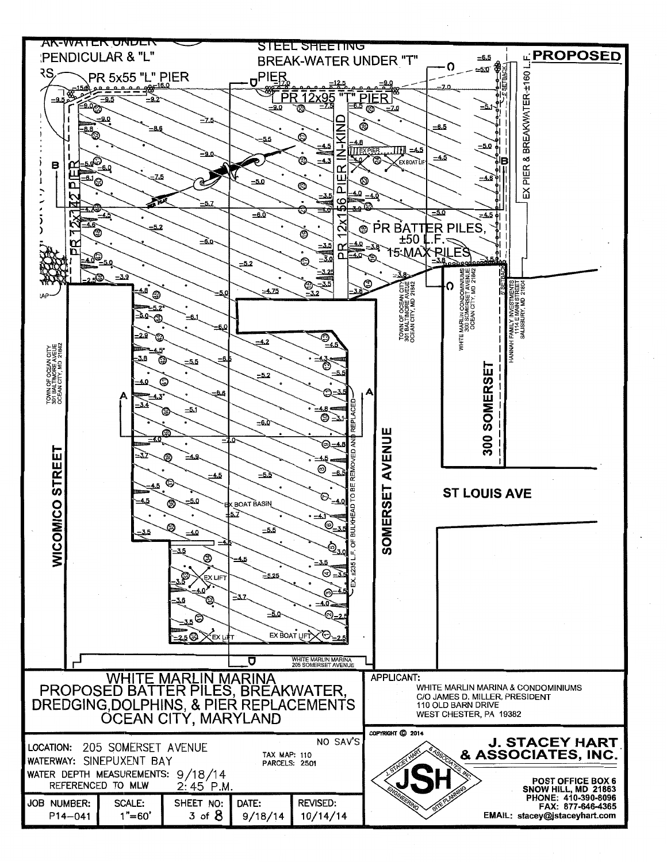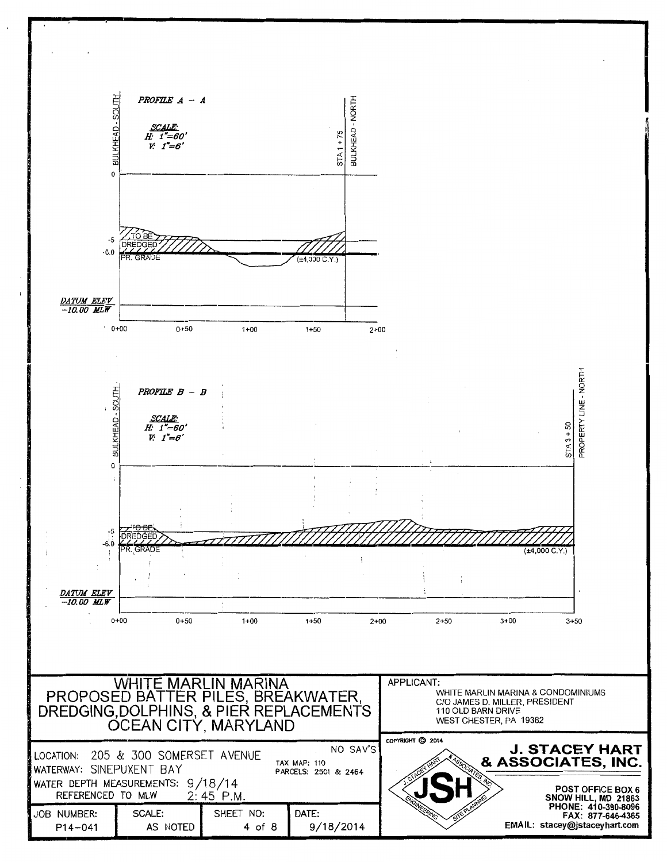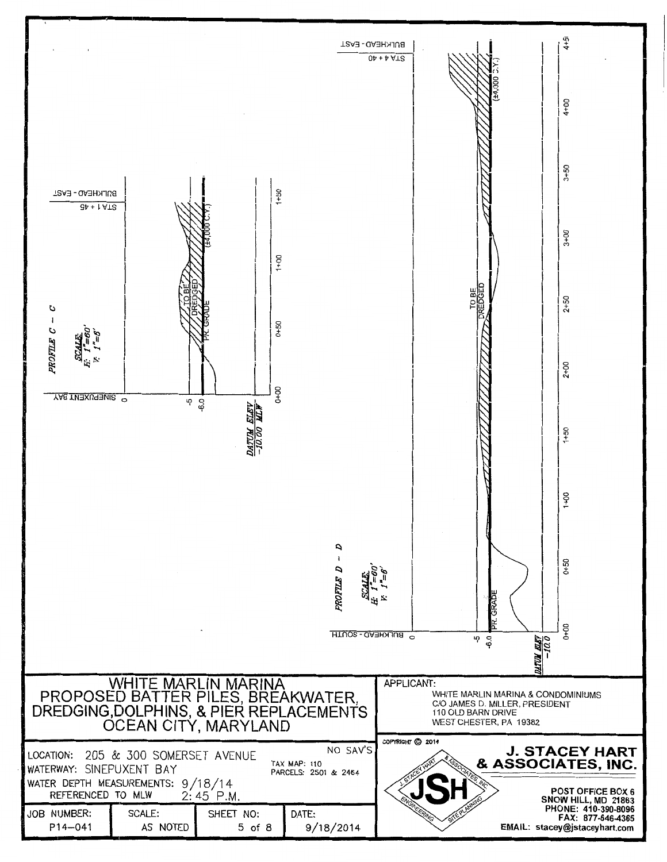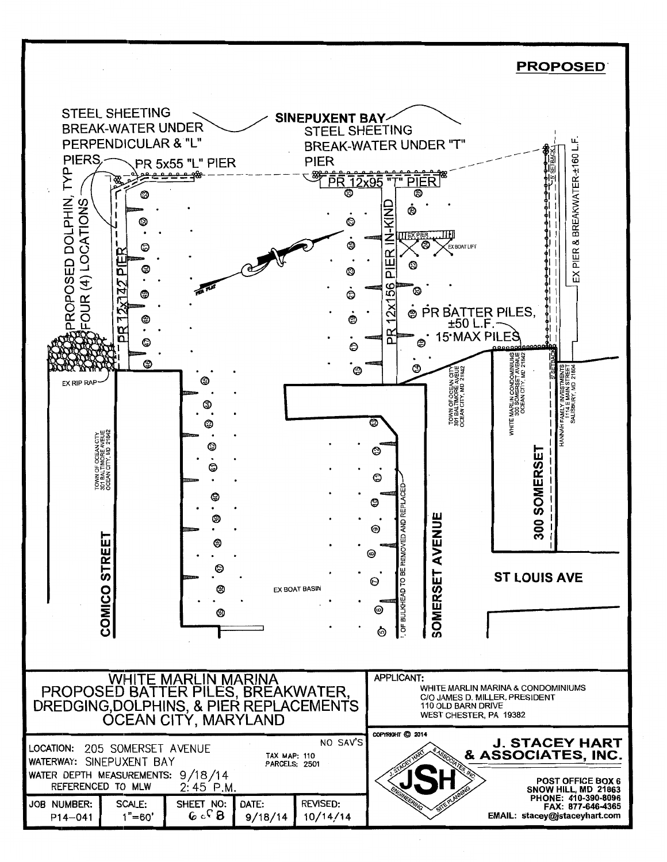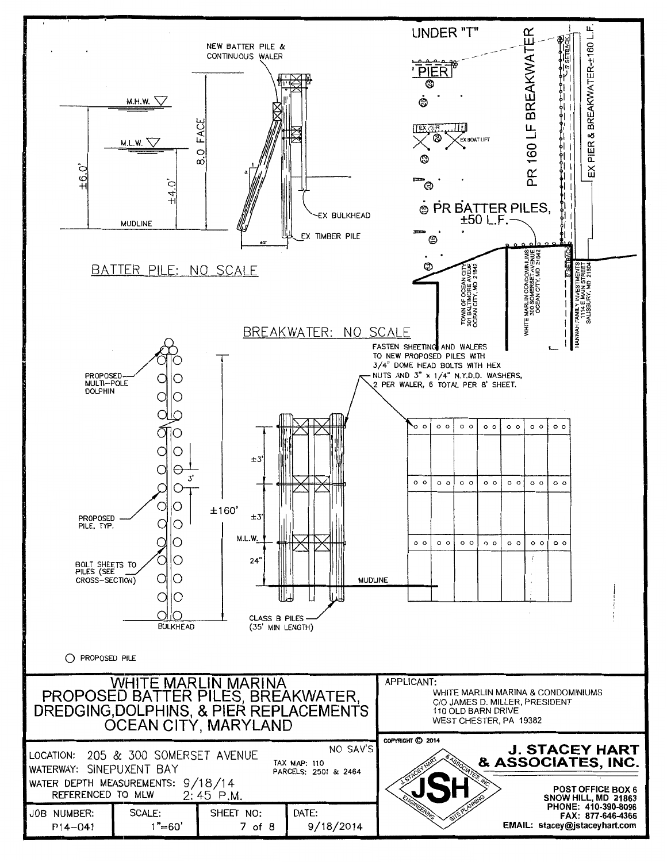